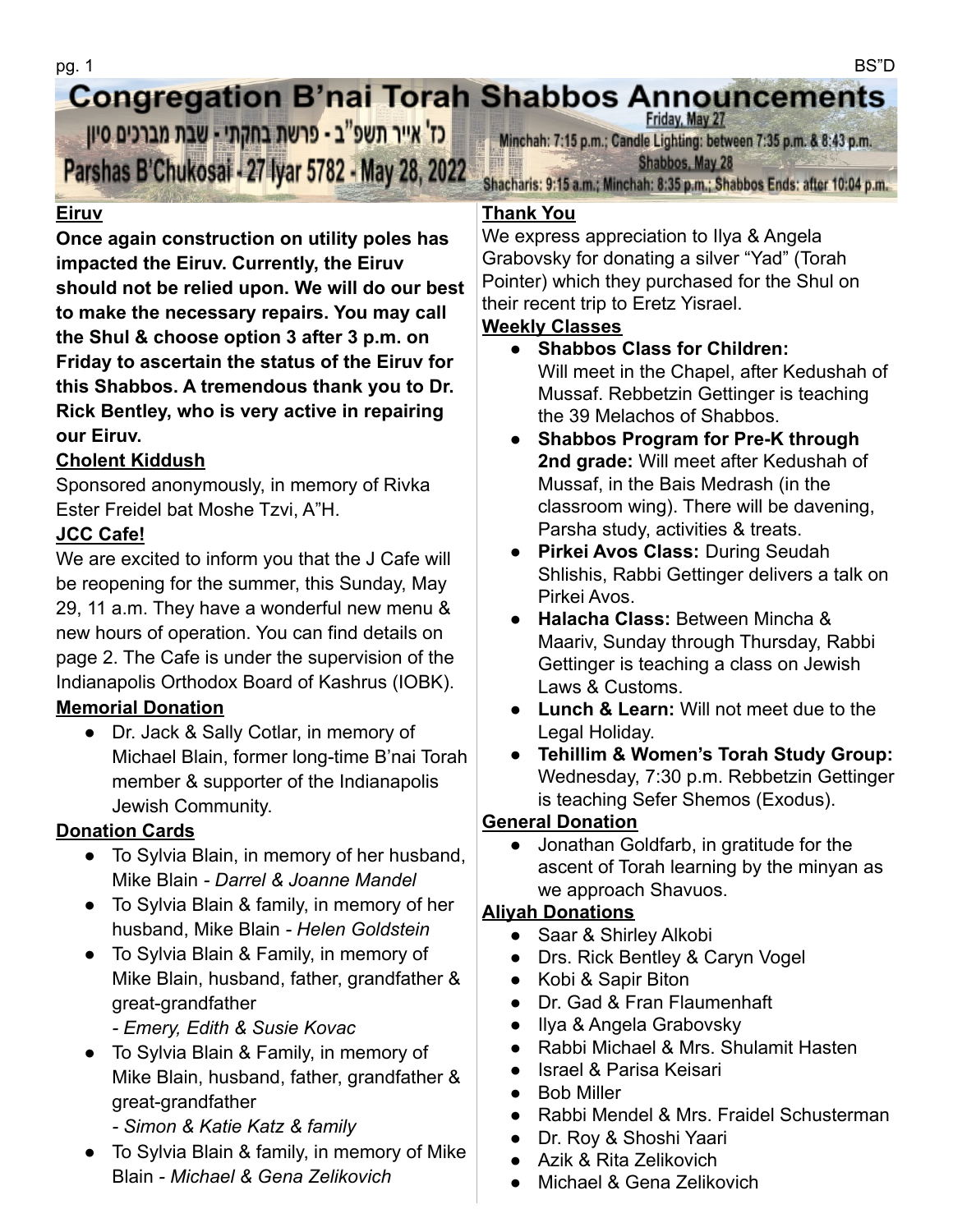#### **Congregation B'nai Torah Shabbos Announcements** Friday, May 27

כז' אייר תשפ"ב - פרשת בחקתי - שבת מברכים סיון Parshas B'Chukosai - 27 Iyar 5782 - May 28, 2022

### **Eiruv**

**Once again construction on utility poles has impacted the Eiruv. Currently, the Eiruv should not be relied upon. We will do our best to make the necessary repairs. You may call the Shul & choose option 3 after 3 p.m. on Friday to ascertain the status of the Eiruv for this Shabbos. A tremendous thank you to Dr. Rick Bentley, who is very active in repairing our Eiruv.**

#### **Cholent Kiddush**

Sponsored anonymously, in memory of Rivka Ester Freidel bat Moshe Tzvi, A"H.

# **JCC Cafe!**

We are excited to inform you that the J Cafe will be reopening for the summer, this Sunday, May 29, 11 a.m. They have a wonderful new menu & new hours of operation. You can find details on page 2. The Cafe is under the supervision of the Indianapolis Orthodox Board of Kashrus (IOBK).

# **Memorial Donation**

● Dr. Jack & Sally Cotlar, in memory of Michael Blain, former long-time B'nai Torah member & supporter of the Indianapolis Jewish Community.

# **Donation Cards**

- To Sylvia Blain, in memory of her husband, Mike Blain *- Darrel & Joanne Mandel*
- To Sylvia Blain & family, in memory of her husband, Mike Blain *- Helen Goldstein*
- To Sylvia Blain & Family, in memory of Mike Blain, husband, father, grandfather & great-grandfather
	- *Emery, Edith & Susie Kovac*
- To Sylvia Blain & Family, in memory of Mike Blain, husband, father, grandfather & great-grandfather
	- *Simon & Katie Katz & family*
- To Sylvia Blain & family, in memory of Mike Blain *- Michael & Gena Zelikovich*

Minchah: 7:15 p.m.; Candle Lighting: between 7:35 p.m. & 8:43 p.m. Shabbos, May 28

Shacharis: 9:15 a.m.; Minchah: 8:35 p.m.; Shabbos Ends: after 10:04 p.m.

#### **Thank You**

We express appreciation to Ilya & Angela Grabovsky for donating a silver "Yad" (Torah Pointer) which they purchased for the Shul on their recent trip to Eretz Yisrael.

#### **Weekly Classes**

- **Shabbos Class for Children:** Will meet in the Chapel, after Kedushah of Mussaf. Rebbetzin Gettinger is teaching the 39 Melachos of Shabbos.
- **● Shabbos Program for Pre-K through 2nd grade:** Will meet after Kedushah of Mussaf, in the Bais Medrash (in the classroom wing). There will be davening, Parsha study, activities & treats.
- **Pirkei Avos Class:** During Seudah Shlishis, Rabbi Gettinger delivers a talk on Pirkei Avos.
- **Halacha Class:** Between Mincha & Maariv, Sunday through Thursday, Rabbi Gettinger is teaching a class on Jewish Laws & Customs.
- **Lunch & Learn:** Will not meet due to the Legal Holiday.
- **Tehillim & Women's Torah Study Group:** Wednesday, 7:30 p.m. Rebbetzin Gettinger is teaching Sefer Shemos (Exodus).

# **General Donation**

● Jonathan Goldfarb, in gratitude for the ascent of Torah learning by the minyan as we approach Shavuos.

# **Aliyah Donations**

- Saar & Shirley Alkobi
- Drs. Rick Bentley & Caryn Vogel
- Kobi & Sapir Biton
- Dr. Gad & Fran Flaumenhaft
- Ilya & Angela Grabovsky
- Rabbi Michael & Mrs. Shulamit Hasten
- Israel & Parisa Keisari
- Bob Miller
- Rabbi Mendel & Mrs. Fraidel Schusterman
- Dr. Roy & Shoshi Yaari
- Azik & Rita Zelikovich
- Michael & Gena Zelikovich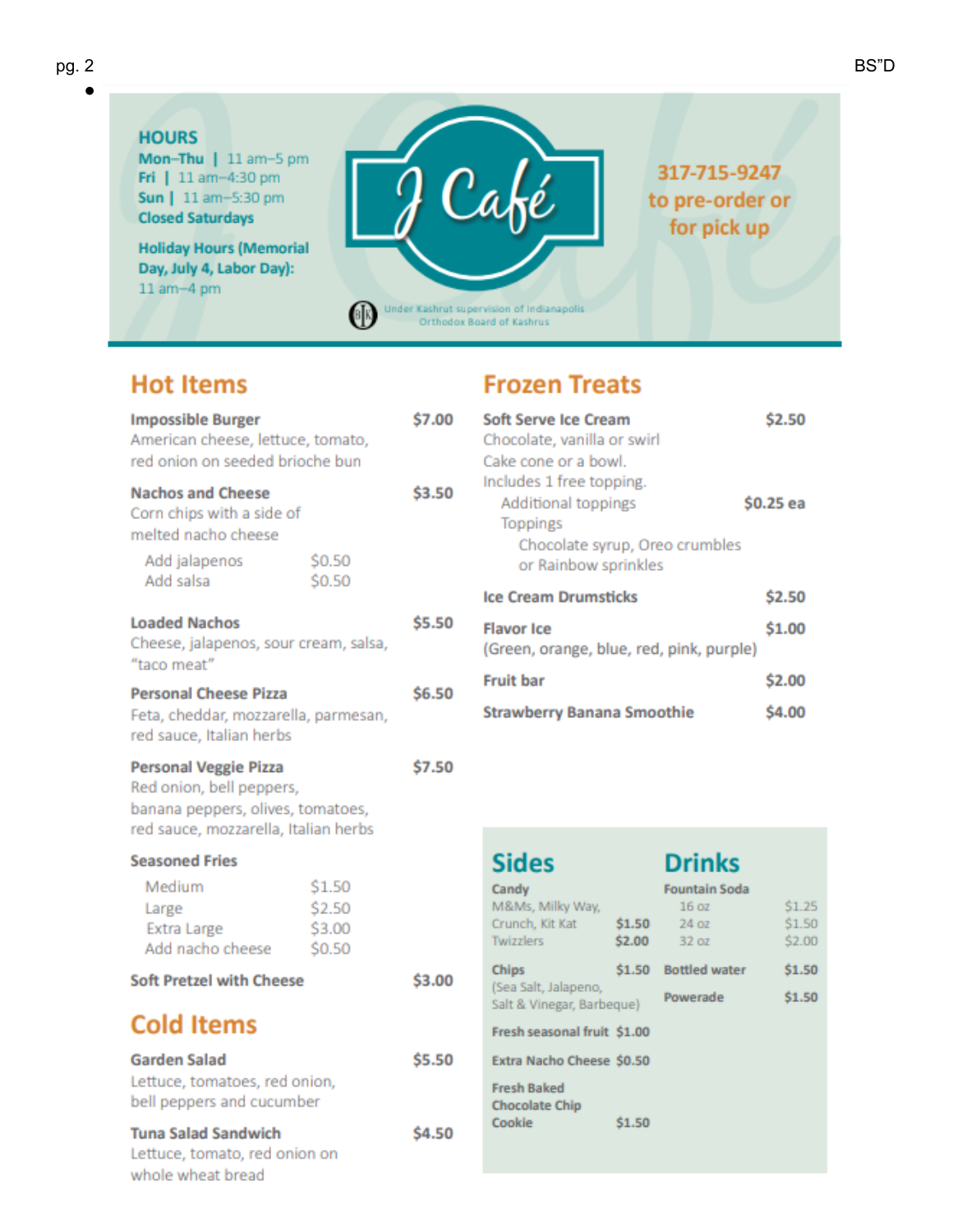#### **HOURS**

Mon-Thu | 11 am-5 pm Fri | 11 am-4:30 pm Sun | 11 am-5:30 pm **Closed Saturdays** 

**Holiday Hours (Memorial** Day, July 4, Labor Day):  $11$  am $-4$  pm



317-715-9247 to pre-order or for pick up

**ON** Under Kashrut supervision of Indianapolis<br>Orthodox Board of Kashrus

# **Hot Items**

| <b>Impossible Burger</b><br>American cheese, lettuce, tomato,<br>red onion on seeded brioche bun                                      |                                      | \$7.00 |
|---------------------------------------------------------------------------------------------------------------------------------------|--------------------------------------|--------|
| <b>Nachos and Cheese</b><br>Corn chips with a side of<br>melted nacho cheese                                                          |                                      | \$3.50 |
| Add jalapenos<br>Add salsa                                                                                                            | \$0.50<br>\$0.50                     |        |
| <b>Loaded Nachos</b><br>Cheese, jalapenos, sour cream, salsa,<br>"taco meat"                                                          |                                      | \$5.50 |
| <b>Personal Cheese Pizza</b><br>Feta, cheddar, mozzarella, parmesan,<br>red sauce, Italian herbs                                      |                                      | \$6.50 |
| <b>Personal Veggie Pizza</b><br>Red onion, bell peppers,<br>banana peppers, olives, tomatoes,<br>red sauce, mozzarella, Italian herbs |                                      | \$7.50 |
| <b>Seasoned Fries</b>                                                                                                                 |                                      |        |
| Medium<br>Large<br>Extra Large<br>Add nacho cheese                                                                                    | \$1.50<br>\$2.50<br>\$3.00<br>\$0.50 |        |
| <b>Soft Pretzel with Cheese</b>                                                                                                       |                                      | \$3.00 |
| <b>Cold Items</b>                                                                                                                     |                                      |        |
| Garden Salad<br>Lettuce, tomatoes, red onion,<br>bell peppers and cucumber                                                            |                                      | \$5.50 |
| <b>Tuna Salad Sandwich</b><br>Lettuce, tomato, red onion on<br>whole wheat bread                                                      |                                      | \$4.50 |

# **Frozen Treats**

| Soft Serve Ice Cream                     | <b>S2.50</b> |
|------------------------------------------|--------------|
| Chocolate, vanilla or swirl              |              |
| Cake cone or a bowl.                     |              |
| Includes 1 free topping.                 |              |
| Additional toppings                      | \$0.25 ea    |
| <b>Toppings</b>                          |              |
| Chocolate syrup, Oreo crumbles           |              |
| or Rainbow sprinkles                     |              |
| <b>Ice Cream Drumsticks</b>              | \$2.50       |
| <b>Flavor Ice</b>                        | \$1.00       |
| (Green, orange, blue, red, pink, purple) |              |
| <b>Fruit bar</b>                         | \$2.00       |
| <b>Strawberry Banana Smoothie</b>        | <b>S4.0</b>  |

| <b>Sides</b>                                                     |                  | <b>Drinks</b>                                  |                            |
|------------------------------------------------------------------|------------------|------------------------------------------------|----------------------------|
| Candy<br>M&Ms, Milky Way,<br>Crunch, Kit Kat<br><b>Twizzlers</b> | \$1.50<br>\$2.00 | <b>Fountain Soda</b><br>16 oz<br>240z<br>32 oz | \$1.25<br>\$1.50<br>\$2.00 |
| Chips<br>(Sea Salt, Jalapeno,<br>Salt & Vinegar, Barbeque)       | \$1.50           | <b>Bottled water</b><br>Powerade               | \$1.50<br>\$1.50           |
| Fresh seasonal fruit \$1.00<br>Extra Nacho Cheese \$0.50         |                  |                                                |                            |
| <b>Fresh Baked</b><br><b>Chocolate Chip</b><br>Cookie            | \$1.50           |                                                |                            |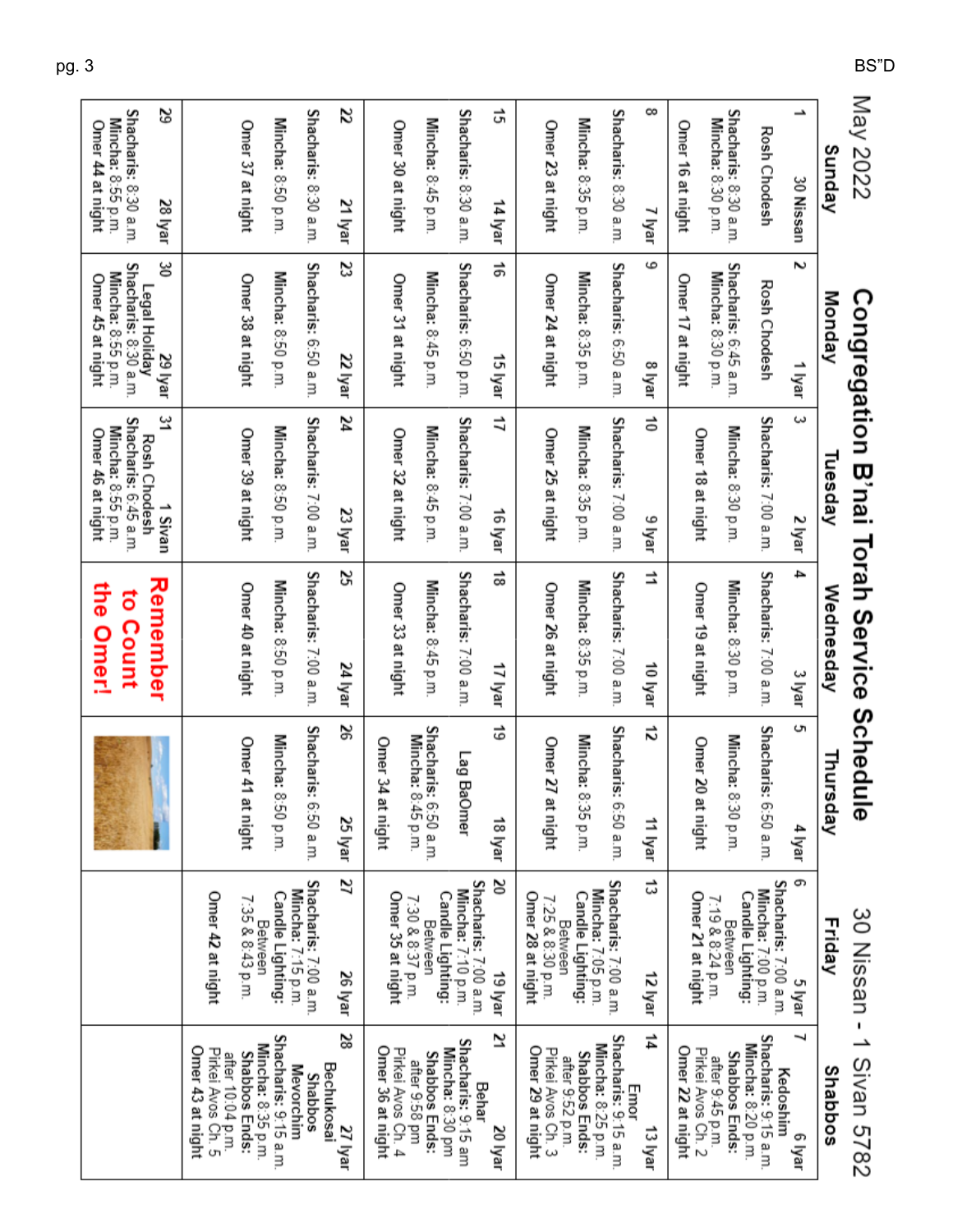| May 2022                                  |                                                            |                                                          | Congregation B'nai Torah Service Schedu | ᢛ                                         |                                                 | 30 Nissan - 1 Sivan 5782                                     |
|-------------------------------------------|------------------------------------------------------------|----------------------------------------------------------|-----------------------------------------|-------------------------------------------|-------------------------------------------------|--------------------------------------------------------------|
| Sunday                                    | Monday                                                     | Tuesday                                                  | Wednesday                               | Thursday                                  | Friday                                          | Shabbos                                                      |
| ∸<br>30 Nissan                            | ζ<br>1 Iyar                                                | $\tilde{\phantom{a}}$<br>2 Iyar                          | 4<br>3 Iyar                             | ç<br>4 Iyar                               | ග<br>5 Iyar                                     | ┙<br>e lyar                                                  |
| Rosh Chodesh                              | Rosh Chodesh                                               | Shacharis: 7:00 a.m.                                     | Shacharis: 7:00 a.m.                    | Shacharis:<br>6:50 a.m.                   | Shacharis: 7:00 a.m.<br>Mincha: 7:00 p.m.       | Shacharis: 9:15 a.m.<br>Mincha: 8:20 p.m.<br>Kedoshim        |
| Shacharis: 8:30 a.m.<br>Mincha: 8:30 p.m. | Shacharis: 6:45 a.m                                        | Mincha: 8:30 p.m.                                        | Mincha: 8:30 p.m                        | Mincha: 8:30 p.m.                         | Candle Lighting:<br>Between                     | <b>Shabbos Ends:</b>                                         |
|                                           | Mincha: 8:30 p.m.                                          | Omer 18 at night                                         | Omer 19 at night                        | Omer 20<br>at night                       | Omer 21 at night<br>7:19 & 8:24 p.m.            | Pirkei Avos Ch. 2<br>after 9:45 p.m.                         |
| Omer 16 at night                          | Omer 17 at night                                           |                                                          |                                         |                                           |                                                 | Omer 22 at night                                             |
| ∞<br>7 Iyar                               | 6<br>3 Iyar                                                | ត់<br>9 Iyar                                             | ⇉<br>10 lyar                            | ನ<br>11 lyar                              | ದ<br>12 Iyar                                    | 44<br>Emor<br>13 Iyar                                        |
| Shacharis: 8:30 a.m                       | Shacharis: 6:50 a.m                                        | Shacharis: 7:00 a.m                                      | Shacharis: 7:00 a.m.                    | Shacharis:<br>f:50 a.m.                   | Shacharis: 7:00 a.m.                            | Shacharis: 9:15 a.m.                                         |
| Mincha: 8:35 p.m.                         | Mincha: 8:35 p.m.                                          | Mincha: 8:35 p.m.                                        | Mincha: 8:35 p.m                        | Mincha: 8:35 p.m.                         | Mincha: 7:05 p.m.<br>Candle Lighting:           | Mincha: 8:25 p.m.<br><b>Shabbos Ends:</b><br>after 9.52 p.m. |
| Omer 23 at night                          | Omer 24 at night                                           | Omer 25 at night                                         | Omer 26 at night                        | Omer 27<br>at night                       | Omer 28 at night<br>7:25 & 8:30 p.m.<br>Between | Omer 29 at night<br>Pirkei Avos Ch. 3                        |
| ದ<br>14 Iyar                              | ಕ<br>15 lyar                                               | 11<br>16 lyar                                            | ಹ<br>17 Iyar                            | ಠ<br>18 lyar                              | క<br>19 Iyar                                    | 71<br>20 Iyar                                                |
| Shacharis: 8:30 a.m.                      | Shacharis: 6:50 p.m                                        | Shacharis: 7:00 a.m                                      | Shacharis: 7:00 a.m                     | Lag BaOmer                                | Shacharis: 7:00 a.m.<br>Mincha: 7:10 p.m.       | Shacharis: 9:15 am<br>Mincha: 8:30 pm<br>Behar               |
| Mincha: 8:45 p.m.                         | Mincha: 8:45 p.m.                                          | Mincha: 8:45 p.m.                                        | Mincha: 8:45 p.m.                       | Shacharis: 6:50 a.m.<br>Mincha: 8:45 p.m. | Candle Lighting:<br>7:30 & 8:37 p.m.<br>Between | Shabbos Ends:<br>after 9:58 pm                               |
| Omer 30 at night                          | Omer 31 at night                                           | Omer 32 at night                                         | Omer 33 at night                        | Omer 34<br>at night                       | Omer 35 at night                                | Omer 36 at night<br>Pirkei Avos Ch. 4                        |
| z<br>21 Iyar                              | జ<br>22 lyar                                               | ħZ<br>23 lyar                                            | S<br>24 Iyar                            | 92<br>25 Iyar                             | 72<br>26 lyar                                   | 28<br>Bechukosai<br>27 Iyar                                  |
| Shacharis: 8:30 a.m.                      | Shacharis: 6:50 a.m                                        | Shacharis: 7:00 a.m                                      | Shacharis: 7:00 a.m.                    | Shacharis:<br>f.50 a.m.                   | Shacharis: 7:00 a.m.<br>Mincha: 7:15 p.m.       | Mevorchim<br>Shabbos                                         |
| Mincha: 8:50 p.m.                         | Mincha: 8:50 p.m.                                          | Mincha: 8:50 p.m.                                        | Mincha: 8:50 p.m                        | Mincha: 8:50 p.m.                         | Candle Lighting:                                | Shacharis: 9:15 a.m.<br>Mincha: 8:35 p.m.                    |
| Omer 37 at night                          | Omer 38 at night                                           | Omer 39 at night                                         | Omer 40 at night                        | Omer 41<br>at night                       | 7:35 & 8:43 p.m.<br>Between                     | Shabbos Ends:                                                |
|                                           |                                                            |                                                          |                                         |                                           | Omer 42 at night                                | Omer 43 at night<br>Pirkei Avos Ch. 5<br>after 10:04 p.m.    |
| జ<br>28 Iyar                              | క<br>29 Iyar                                               | یں<br>1 Sivan                                            | Remember                                |                                           |                                                 |                                                              |
| Shacharis: 8:30 a.m.<br>Mincha: 8:55 p.m. | Shacharis: 8:30 a.m.<br>Mincha: 8:55 p.m.<br>Legal Holiday | Shacharis: 6:45 a.m<br>Mincha: 8:55 p.m.<br>Rosh Chodesh | to Count                                |                                           |                                                 |                                                              |
| Omer 44 at night                          | Omer 45 at night                                           | Omer 46 at night                                         | the Omer!                               |                                           |                                                 |                                                              |

pg. 3

BS"D